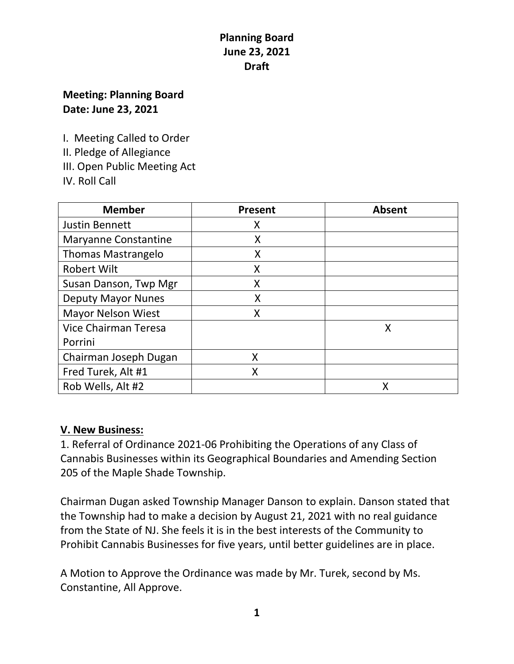# **Meeting: Planning Board Date: June 23, 2021**

I. Meeting Called to Order

II. Pledge of Allegiance

III. Open Public Meeting Act

IV. Roll Call

| <b>Member</b>               | Present | <b>Absent</b> |
|-----------------------------|---------|---------------|
| <b>Justin Bennett</b>       | Χ       |               |
| <b>Maryanne Constantine</b> | X       |               |
| <b>Thomas Mastrangelo</b>   | Χ       |               |
| <b>Robert Wilt</b>          | Χ       |               |
| Susan Danson, Twp Mgr       | X       |               |
| <b>Deputy Mayor Nunes</b>   | X       |               |
| <b>Mayor Nelson Wiest</b>   | X       |               |
| Vice Chairman Teresa        |         | Χ             |
| Porrini                     |         |               |
| Chairman Joseph Dugan       | X       |               |
| Fred Turek, Alt #1          | X       |               |
| Rob Wells, Alt #2           |         |               |

# **V. New Business:**

1. Referral of Ordinance 2021-06 Prohibiting the Operations of any Class of Cannabis Businesses within its Geographical Boundaries and Amending Section 205 of the Maple Shade Township.

Chairman Dugan asked Township Manager Danson to explain. Danson stated that the Township had to make a decision by August 21, 2021 with no real guidance from the State of NJ. She feels it is in the best interests of the Community to Prohibit Cannabis Businesses for five years, until better guidelines are in place.

A Motion to Approve the Ordinance was made by Mr. Turek, second by Ms. Constantine, All Approve.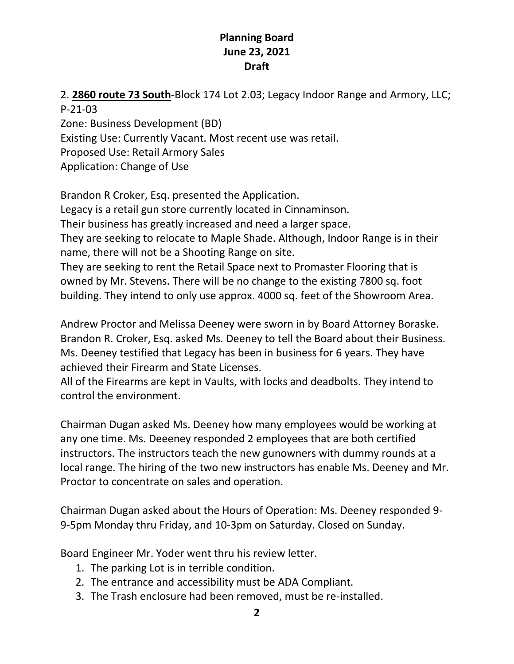2. **2860 route 73 South**-Block 174 Lot 2.03; Legacy Indoor Range and Armory, LLC;

P-21-03

Zone: Business Development (BD)

Existing Use: Currently Vacant. Most recent use was retail.

Proposed Use: Retail Armory Sales

Application: Change of Use

Brandon R Croker, Esq. presented the Application.

Legacy is a retail gun store currently located in Cinnaminson.

Their business has greatly increased and need a larger space.

They are seeking to relocate to Maple Shade. Although, Indoor Range is in their name, there will not be a Shooting Range on site.

They are seeking to rent the Retail Space next to Promaster Flooring that is owned by Mr. Stevens. There will be no change to the existing 7800 sq. foot building. They intend to only use approx. 4000 sq. feet of the Showroom Area.

Andrew Proctor and Melissa Deeney were sworn in by Board Attorney Boraske. Brandon R. Croker, Esq. asked Ms. Deeney to tell the Board about their Business. Ms. Deeney testified that Legacy has been in business for 6 years. They have achieved their Firearm and State Licenses.

All of the Firearms are kept in Vaults, with locks and deadbolts. They intend to control the environment.

Chairman Dugan asked Ms. Deeney how many employees would be working at any one time. Ms. Deeeney responded 2 employees that are both certified instructors. The instructors teach the new gunowners with dummy rounds at a local range. The hiring of the two new instructors has enable Ms. Deeney and Mr. Proctor to concentrate on sales and operation.

Chairman Dugan asked about the Hours of Operation: Ms. Deeney responded 9- 9-5pm Monday thru Friday, and 10-3pm on Saturday. Closed on Sunday.

Board Engineer Mr. Yoder went thru his review letter.

- 1. The parking Lot is in terrible condition.
- 2. The entrance and accessibility must be ADA Compliant.
- 3. The Trash enclosure had been removed, must be re-installed.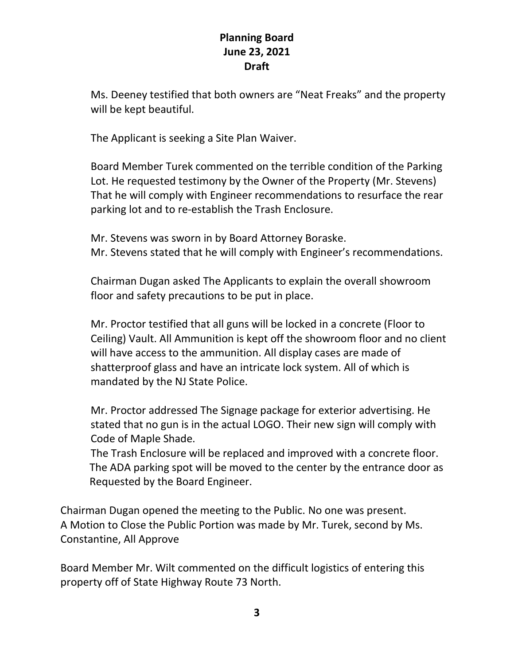Ms. Deeney testified that both owners are "Neat Freaks" and the property will be kept beautiful.

The Applicant is seeking a Site Plan Waiver.

Board Member Turek commented on the terrible condition of the Parking Lot. He requested testimony by the Owner of the Property (Mr. Stevens) That he will comply with Engineer recommendations to resurface the rear parking lot and to re-establish the Trash Enclosure.

Mr. Stevens was sworn in by Board Attorney Boraske. Mr. Stevens stated that he will comply with Engineer's recommendations.

Chairman Dugan asked The Applicants to explain the overall showroom floor and safety precautions to be put in place.

Mr. Proctor testified that all guns will be locked in a concrete (Floor to Ceiling) Vault. All Ammunition is kept off the showroom floor and no client will have access to the ammunition. All display cases are made of shatterproof glass and have an intricate lock system. All of which is mandated by the NJ State Police.

Mr. Proctor addressed The Signage package for exterior advertising. He stated that no gun is in the actual LOGO. Their new sign will comply with Code of Maple Shade.

The Trash Enclosure will be replaced and improved with a concrete floor. The ADA parking spot will be moved to the center by the entrance door as Requested by the Board Engineer.

Chairman Dugan opened the meeting to the Public. No one was present. A Motion to Close the Public Portion was made by Mr. Turek, second by Ms. Constantine, All Approve

Board Member Mr. Wilt commented on the difficult logistics of entering this property off of State Highway Route 73 North.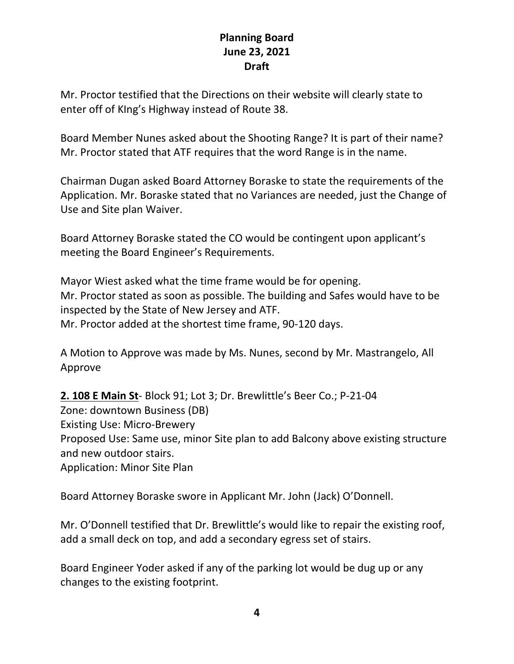Mr. Proctor testified that the Directions on their website will clearly state to enter off of KIng's Highway instead of Route 38.

Board Member Nunes asked about the Shooting Range? It is part of their name? Mr. Proctor stated that ATF requires that the word Range is in the name.

Chairman Dugan asked Board Attorney Boraske to state the requirements of the Application. Mr. Boraske stated that no Variances are needed, just the Change of Use and Site plan Waiver.

Board Attorney Boraske stated the CO would be contingent upon applicant's meeting the Board Engineer's Requirements.

Mayor Wiest asked what the time frame would be for opening. Mr. Proctor stated as soon as possible. The building and Safes would have to be inspected by the State of New Jersey and ATF. Mr. Proctor added at the shortest time frame, 90-120 days.

A Motion to Approve was made by Ms. Nunes, second by Mr. Mastrangelo, All Approve

**2. 108 E Main St**- Block 91; Lot 3; Dr. Brewlittle's Beer Co.; P-21-04 Zone: downtown Business (DB) Existing Use: Micro-Brewery Proposed Use: Same use, minor Site plan to add Balcony above existing structure and new outdoor stairs. Application: Minor Site Plan

Board Attorney Boraske swore in Applicant Mr. John (Jack) O'Donnell.

Mr. O'Donnell testified that Dr. Brewlittle's would like to repair the existing roof, add a small deck on top, and add a secondary egress set of stairs.

Board Engineer Yoder asked if any of the parking lot would be dug up or any changes to the existing footprint.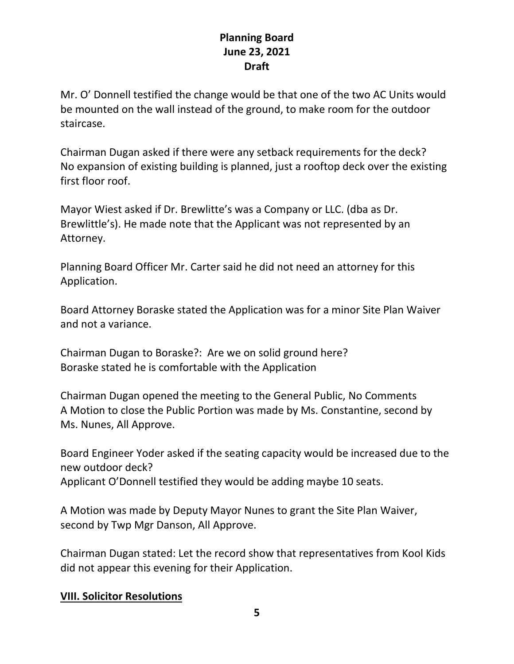Mr. O' Donnell testified the change would be that one of the two AC Units would be mounted on the wall instead of the ground, to make room for the outdoor staircase.

Chairman Dugan asked if there were any setback requirements for the deck? No expansion of existing building is planned, just a rooftop deck over the existing first floor roof.

Mayor Wiest asked if Dr. Brewlitte's was a Company or LLC. (dba as Dr. Brewlittle's). He made note that the Applicant was not represented by an Attorney.

Planning Board Officer Mr. Carter said he did not need an attorney for this Application.

Board Attorney Boraske stated the Application was for a minor Site Plan Waiver and not a variance.

Chairman Dugan to Boraske?: Are we on solid ground here? Boraske stated he is comfortable with the Application

Chairman Dugan opened the meeting to the General Public, No Comments A Motion to close the Public Portion was made by Ms. Constantine, second by Ms. Nunes, All Approve.

Board Engineer Yoder asked if the seating capacity would be increased due to the new outdoor deck? Applicant O'Donnell testified they would be adding maybe 10 seats.

A Motion was made by Deputy Mayor Nunes to grant the Site Plan Waiver, second by Twp Mgr Danson, All Approve.

Chairman Dugan stated: Let the record show that representatives from Kool Kids did not appear this evening for their Application.

#### **VIII. Solicitor Resolutions**